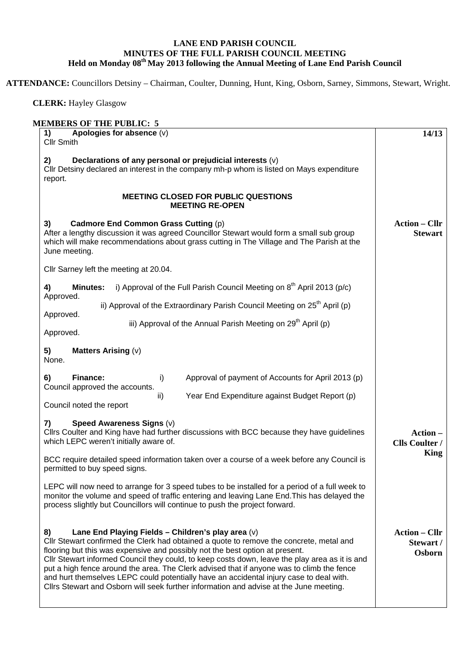## **LANE END PARISH COUNCIL MINUTES OF THE FULL PARISH COUNCIL MEETING Held on Monday 08th May 2013 following the Annual Meeting of Lane End Parish Council**

**ATTENDANCE:** Councillors Detsiny – Chairman, Coulter, Dunning, Hunt, King, Osborn, Sarney, Simmons, Stewart, Wright.

 **CLERK:** Hayley Glasgow

| <b>MEMBERS OF THE PUBLIC: 5</b>                                                                                                                                                                                                                                                                                                                                                                                                                                                                                                                                                                                         |                                                  |
|-------------------------------------------------------------------------------------------------------------------------------------------------------------------------------------------------------------------------------------------------------------------------------------------------------------------------------------------------------------------------------------------------------------------------------------------------------------------------------------------------------------------------------------------------------------------------------------------------------------------------|--------------------------------------------------|
| Apologies for absence (v)<br>1)<br><b>Cllr Smith</b>                                                                                                                                                                                                                                                                                                                                                                                                                                                                                                                                                                    | 14/13                                            |
| Declarations of any personal or prejudicial interests (v)<br>2)<br>CIIr Detsiny declared an interest in the company mh-p whom is listed on Mays expenditure<br>report.                                                                                                                                                                                                                                                                                                                                                                                                                                                  |                                                  |
| <b>MEETING CLOSED FOR PUBLIC QUESTIONS</b><br><b>MEETING RE-OPEN</b>                                                                                                                                                                                                                                                                                                                                                                                                                                                                                                                                                    |                                                  |
| Cadmore End Common Grass Cutting (p)<br>3)<br>After a lengthy discussion it was agreed Councillor Stewart would form a small sub group<br>which will make recommendations about grass cutting in The Village and The Parish at the<br>June meeting.                                                                                                                                                                                                                                                                                                                                                                     | <b>Action – Cllr</b><br><b>Stewart</b>           |
| Cllr Sarney left the meeting at 20.04.                                                                                                                                                                                                                                                                                                                                                                                                                                                                                                                                                                                  |                                                  |
| i) Approval of the Full Parish Council Meeting on $8th$ April 2013 (p/c)<br>4)<br><b>Minutes:</b>                                                                                                                                                                                                                                                                                                                                                                                                                                                                                                                       |                                                  |
| Approved.<br>ii) Approval of the Extraordinary Parish Council Meeting on $25th$ April (p)                                                                                                                                                                                                                                                                                                                                                                                                                                                                                                                               |                                                  |
| Approved.<br>iii) Approval of the Annual Parish Meeting on 29 <sup>th</sup> April (p)<br>Approved.                                                                                                                                                                                                                                                                                                                                                                                                                                                                                                                      |                                                  |
| 5)<br><b>Matters Arising (v)</b><br>None.                                                                                                                                                                                                                                                                                                                                                                                                                                                                                                                                                                               |                                                  |
| Finance:<br>Approval of payment of Accounts for April 2013 (p)<br>6)<br>i)<br>Council approved the accounts.<br>Year End Expenditure against Budget Report (p)<br>ii)<br>Council noted the report                                                                                                                                                                                                                                                                                                                                                                                                                       |                                                  |
| Speed Awareness Signs (v)<br>7)<br>Cllrs Coulter and King have had further discussions with BCC because they have guidelines<br>which LEPC weren't initially aware of.<br>BCC require detailed speed information taken over a course of a week before any Council is<br>permitted to buy speed signs.                                                                                                                                                                                                                                                                                                                   | Action -<br><b>Clls Coulter /</b><br><b>King</b> |
| LEPC will now need to arrange for 3 speed tubes to be installed for a period of a full week to<br>monitor the volume and speed of traffic entering and leaving Lane End. This has delayed the<br>process slightly but Councillors will continue to push the project forward.                                                                                                                                                                                                                                                                                                                                            |                                                  |
| 8)<br>Lane End Playing Fields - Children's play area (v)<br>CIIr Stewart confirmed the Clerk had obtained a quote to remove the concrete, metal and<br>flooring but this was expensive and possibly not the best option at present.<br>CIIr Stewart informed Council they could, to keep costs down, leave the play area as it is and<br>put a high fence around the area. The Clerk advised that if anyone was to climb the fence<br>and hurt themselves LEPC could potentially have an accidental injury case to deal with.<br>Cllrs Stewart and Osborn will seek further information and advise at the June meeting. | <b>Action – Cllr</b><br>Stewart /<br>Osborn      |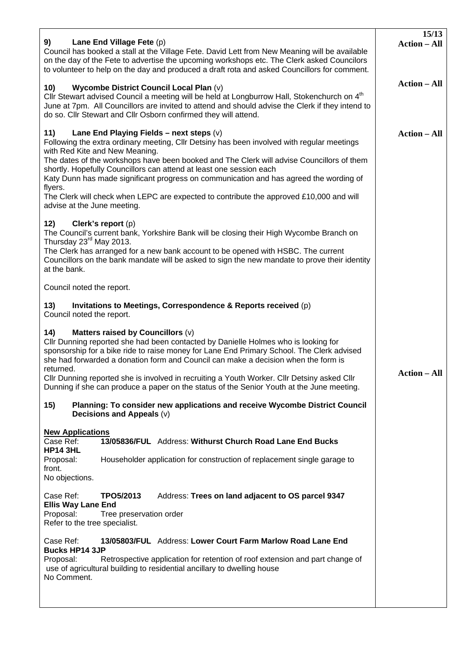| Lane End Village Fete (p)<br>9)<br>Council has booked a stall at the Village Fete. David Lett from New Meaning will be available<br>on the day of the Fete to advertise the upcoming workshops etc. The Clerk asked Councilors<br>to volunteer to help on the day and produced a draft rota and asked Councillors for comment.                                                                                                                                                                                                                                                                                    | 15/13<br><b>Action – All</b> |
|-------------------------------------------------------------------------------------------------------------------------------------------------------------------------------------------------------------------------------------------------------------------------------------------------------------------------------------------------------------------------------------------------------------------------------------------------------------------------------------------------------------------------------------------------------------------------------------------------------------------|------------------------------|
| Wycombe District Council Local Plan (v)<br>10)<br>Cllr Stewart advised Council a meeting will be held at Longburrow Hall, Stokenchurch on 4 <sup>th</sup><br>June at 7pm. All Councillors are invited to attend and should advise the Clerk if they intend to<br>do so. Cllr Stewart and Cllr Osborn confirmed they will attend.                                                                                                                                                                                                                                                                                  | <b>Action – All</b>          |
| 11)<br>Lane End Playing Fields – next steps $(v)$<br>Following the extra ordinary meeting, CIIr Detsiny has been involved with regular meetings<br>with Red Kite and New Meaning.<br>The dates of the workshops have been booked and The Clerk will advise Councillors of them<br>shortly. Hopefully Councillors can attend at least one session each<br>Katy Dunn has made significant progress on communication and has agreed the wording of<br>flyers.<br>The Clerk will check when LEPC are expected to contribute the approved £10,000 and will<br>advise at the June meeting.<br>12)<br>Clerk's report (p) | <b>Action – All</b>          |
| The Council's current bank, Yorkshire Bank will be closing their High Wycombe Branch on<br>Thursday 23 <sup>rd</sup> May 2013.<br>The Clerk has arranged for a new bank account to be opened with HSBC. The current<br>Councillors on the bank mandate will be asked to sign the new mandate to prove their identity<br>at the bank.                                                                                                                                                                                                                                                                              |                              |
| Council noted the report.                                                                                                                                                                                                                                                                                                                                                                                                                                                                                                                                                                                         |                              |
| 13)<br>Invitations to Meetings, Correspondence & Reports received (p)<br>Council noted the report.                                                                                                                                                                                                                                                                                                                                                                                                                                                                                                                |                              |
| 14)<br>Matters raised by Councillors (v)<br>Cllr Dunning reported she had been contacted by Danielle Holmes who is looking for<br>sponsorship for a bike ride to raise money for Lane End Primary School. The Clerk advised<br>she had forwarded a donation form and Council can make a decision when the form is<br>returned.<br>Cllr Dunning reported she is involved in recruiting a Youth Worker. Cllr Detsiny asked Cllr<br>Dunning if she can produce a paper on the status of the Senior Youth at the June meeting.                                                                                        | <b>Action – All</b>          |
| 15)<br>Planning: To consider new applications and receive Wycombe District Council<br>Decisions and Appeals (v)                                                                                                                                                                                                                                                                                                                                                                                                                                                                                                   |                              |
| <b>New Applications</b><br>Case Ref:<br>13/05836/FUL Address: Withurst Church Road Lane End Bucks<br><b>HP14 3HL</b><br>Proposal:<br>Householder application for construction of replacement single garage to<br>front.<br>No objections.                                                                                                                                                                                                                                                                                                                                                                         |                              |
| Case Ref:<br>Address: Trees on land adjacent to OS parcel 9347<br>TPO5/2013<br><b>Ellis Way Lane End</b><br>Proposal:<br>Tree preservation order<br>Refer to the tree specialist.                                                                                                                                                                                                                                                                                                                                                                                                                                 |                              |
| Case Ref:<br>13/05803/FUL Address: Lower Court Farm Marlow Road Lane End<br><b>Bucks HP14 3JP</b><br>Proposal:<br>Retrospective application for retention of roof extension and part change of<br>use of agricultural building to residential ancillary to dwelling house<br>No Comment.                                                                                                                                                                                                                                                                                                                          |                              |
|                                                                                                                                                                                                                                                                                                                                                                                                                                                                                                                                                                                                                   |                              |